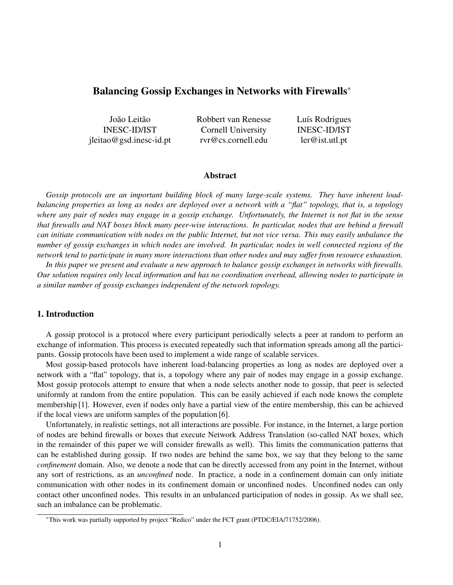# Balancing Gossip Exchanges in Networks with Firewalls<sup>∗</sup>

| João Leitão               | Robbert van Renesse | Luís Rodrigues      |
|---------------------------|---------------------|---------------------|
| <b>INESC-ID/IST</b>       | Cornell University  | <b>INESC-ID/IST</b> |
| $ileitao@gsd.inesc-id.pt$ | rvr@cs.cornell.edu  | ler@ist.util.pt     |

#### Abstract

*Gossip protocols are an important building block of many large-scale systems. They have inherent loadbalancing properties as long as nodes are deployed over a network with a "flat" topology, that is, a topology where any pair of nodes may engage in a gossip exchange. Unfortunately, the Internet is not flat in the sense that firewalls and NAT boxes block many peer-wise interactions. In particular, nodes that are behind a firewall can initiate communication with nodes on the public Internet, but not vice versa. This may easily unbalance the number of gossip exchanges in which nodes are involved. In particular, nodes in well connected regions of the network tend to participate in many more interactions than other nodes and may suffer from resource exhaustion.*

*In this paper we present and evaluate a new approach to balance gossip exchanges in networks with firewalls. Our solution requires only local information and has no coordination overhead, allowing nodes to participate in a similar number of gossip exchanges independent of the network topology.*

## 1. Introduction

A gossip protocol is a protocol where every participant periodically selects a peer at random to perform an exchange of information. This process is executed repeatedly such that information spreads among all the participants. Gossip protocols have been used to implement a wide range of scalable services.

Most gossip-based protocols have inherent load-balancing properties as long as nodes are deployed over a network with a "flat" topology, that is, a topology where any pair of nodes may engage in a gossip exchange. Most gossip protocols attempt to ensure that when a node selects another node to gossip, that peer is selected uniformly at random from the entire population. This can be easily achieved if each node knows the complete membership [1]. However, even if nodes only have a partial view of the entire membership, this can be achieved if the local views are uniform samples of the population [6].

Unfortunately, in realistic settings, not all interactions are possible. For instance, in the Internet, a large portion of nodes are behind firewalls or boxes that execute Network Address Translation (so-called NAT boxes, which in the remainder of this paper we will consider firewalls as well). This limits the communication patterns that can be established during gossip. If two nodes are behind the same box, we say that they belong to the same *confinement* domain. Also, we denote a node that can be directly accessed from any point in the Internet, without any sort of restrictions, as an *unconfined* node. In practice, a node in a confinement domain can only initiate communication with other nodes in its confinement domain or unconfined nodes. Unconfined nodes can only contact other unconfined nodes. This results in an unbalanced participation of nodes in gossip. As we shall see, such an imbalance can be problematic.

<sup>∗</sup>This work was partially supported by project "Redico" under the FCT grant (PTDC/EIA/71752/2006).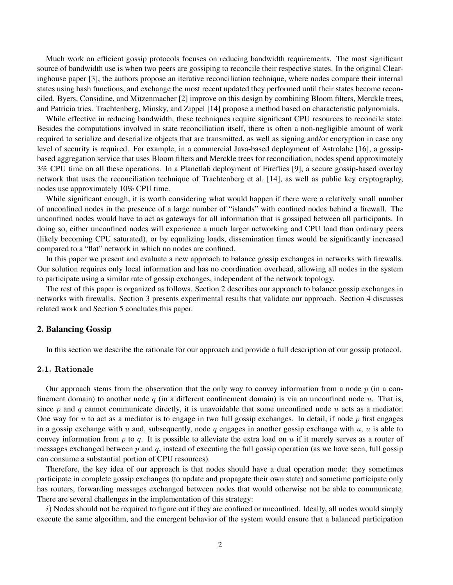Much work on efficient gossip protocols focuses on reducing bandwidth requirements. The most significant source of bandwidth use is when two peers are gossiping to reconcile their respective states. In the original Clearinghouse paper [3], the authors propose an iterative reconciliation technique, where nodes compare their internal states using hash functions, and exchange the most recent updated they performed until their states become reconciled. Byers, Considine, and Mitzenmacher [2] improve on this design by combining Bloom filters, Merckle trees, and Patricia tries. Trachtenberg, Minsky, and Zippel [14] propose a method based on characteristic polynomials.

While effective in reducing bandwidth, these techniques require significant CPU resources to reconcile state. Besides the computations involved in state reconciliation itself, there is often a non-negligible amount of work required to serialize and deserialize objects that are transmitted, as well as signing and/or encryption in case any level of security is required. For example, in a commercial Java-based deployment of Astrolabe [16], a gossipbased aggregation service that uses Bloom filters and Merckle trees for reconciliation, nodes spend approximately 3% CPU time on all these operations. In a Planetlab deployment of Fireflies [9], a secure gossip-based overlay network that uses the reconciliation technique of Trachtenberg et al. [14], as well as public key cryptography, nodes use approximately 10% CPU time.

While significant enough, it is worth considering what would happen if there were a relatively small number of unconfined nodes in the presence of a large number of "islands" with confined nodes behind a firewall. The unconfined nodes would have to act as gateways for all information that is gossiped between all participants. In doing so, either unconfined nodes will experience a much larger networking and CPU load than ordinary peers (likely becoming CPU saturated), or by equalizing loads, dissemination times would be significantly increased compared to a "flat" network in which no nodes are confined.

In this paper we present and evaluate a new approach to balance gossip exchanges in networks with firewalls. Our solution requires only local information and has no coordination overhead, allowing all nodes in the system to participate using a similar rate of gossip exchanges, independent of the network topology.

The rest of this paper is organized as follows. Section 2 describes our approach to balance gossip exchanges in networks with firewalls. Section 3 presents experimental results that validate our approach. Section 4 discusses related work and Section 5 concludes this paper.

#### 2. Balancing Gossip

In this section we describe the rationale for our approach and provide a full description of our gossip protocol.

### 2.1. Rationale

Our approach stems from the observation that the only way to convey information from a node  $p$  (in a confinement domain) to another node q (in a different confinement domain) is via an unconfined node  $u$ . That is, since p and q cannot communicate directly, it is unavoidable that some unconfined node  $u$  acts as a mediator. One way for u to act as a mediator is to engage in two full gossip exchanges. In detail, if node  $p$  first engages in a gossip exchange with u and, subsequently, node q engages in another gossip exchange with  $u$ ,  $u$  is able to convey information from  $p$  to  $q$ . It is possible to alleviate the extra load on  $u$  if it merely serves as a router of messages exchanged between  $p$  and  $q$ , instead of executing the full gossip operation (as we have seen, full gossip can consume a substantial portion of CPU resources).

Therefore, the key idea of our approach is that nodes should have a dual operation mode: they sometimes participate in complete gossip exchanges (to update and propagate their own state) and sometime participate only has routers, forwarding messages exchanged between nodes that would otherwise not be able to communicate. There are several challenges in the implementation of this strategy:

 $i)$  Nodes should not be required to figure out if they are confined or unconfined. Ideally, all nodes would simply execute the same algorithm, and the emergent behavior of the system would ensure that a balanced participation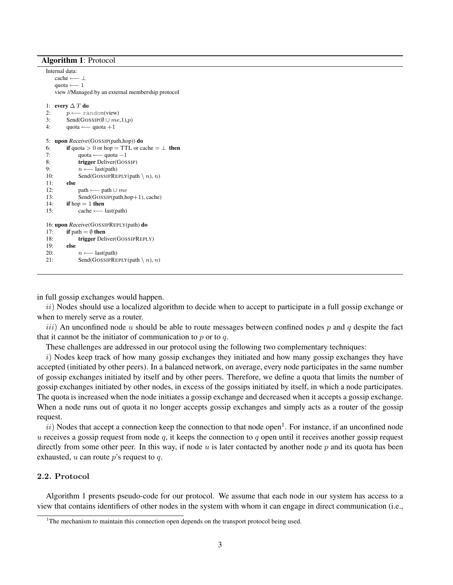#### Algorithm 1: Protocol

```
Internal data:
   cache ←− ⊥
   quota ←− 1
   view //Managed by an external membership protocol
1: every \Delta T do
2: p \longleftarrow \text{random}(view)3: Send(GOSSIP(\emptyset \cup me, 1), p)
4: quota ← quota +1
5: upon Receive(GOSSIP(path,hop)) do
6: if quota > 0 or hop = TTL or cache = \perp then
7: quota ← quota −1
8: trigger Deliver(GOSSIP)
9: n \leftarrow last(path)<br>10: Send(GOSSIPRE
            Send(GOSSIPREPLY(path \langle n \rangle, n)
11: else
12: path ← path ∪ me13: Send(GOSSIP(path,hop+1), cache)
14: if hop = 1 then<br>15: cache
            15: cache ←− last(path)
16: upon Receive(GOSSIPREPLY(path) do
17: if path = \emptyset then
18: trigger Deliver(GOSSIPREPLY)
19: else
20: n \leftarrow last(path)
21: Send(GOSSIPREPLY(path \setminus n), n)
```
in full gossip exchanges would happen.

 $ii)$  Nodes should use a localized algorithm to decide when to accept to participate in a full gossip exchange or when to merely serve as a router.

iii) An unconfined node u should be able to route messages between confined nodes p and q despite the fact that it cannot be the initiator of communication to  $p$  or to  $q$ .

These challenges are addressed in our protocol using the following two complementary techniques:

i) Nodes keep track of how many gossip exchanges they initiated and how many gossip exchanges they have accepted (initiated by other peers). In a balanced network, on average, every node participates in the same number of gossip exchanges initiated by itself and by other peers. Therefore, we define a quota that limits the number of gossip exchanges initiated by other nodes, in excess of the gossips initiated by itself, in which a node participates. The quota is increased when the node initiates a gossip exchange and decreased when it accepts a gossip exchange. When a node runs out of quota it no longer accepts gossip exchanges and simply acts as a router of the gossip request.

 $ii)$  Nodes that accept a connection keep the connection to that node open<sup>1</sup>. For instance, if an unconfined node  $u$  receives a gossip request from node  $q$ , it keeps the connection to  $q$  open until it receives another gossip request directly from some other peer. In this way, if node  $u$  is later contacted by another node  $p$  and its quota has been exhausted,  $u$  can route  $p$ 's request to  $q$ .

# 2.2. Protocol

Algorithm 1 presents pseudo-code for our protocol. We assume that each node in our system has access to a view that contains identifiers of other nodes in the system with whom it can engage in direct communication (i.e.,

<sup>&</sup>lt;sup>1</sup>The mechanism to maintain this connection open depends on the transport protocol being used.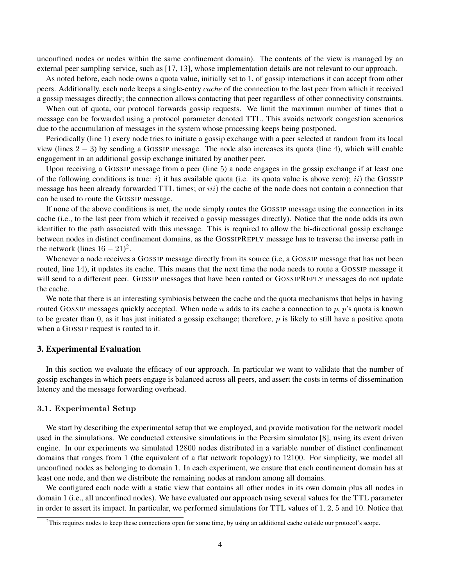unconfined nodes or nodes within the same confinement domain). The contents of the view is managed by an external peer sampling service, such as [17, 13], whose implementation details are not relevant to our approach.

As noted before, each node owns a quota value, initially set to 1, of gossip interactions it can accept from other peers. Additionally, each node keeps a single-entry *cache* of the connection to the last peer from which it received a gossip messages directly; the connection allows contacting that peer regardless of other connectivity constraints.

When out of quota, our protocol forwards gossip requests. We limit the maximum number of times that a message can be forwarded using a protocol parameter denoted TTL. This avoids network congestion scenarios due to the accumulation of messages in the system whose processing keeps being postponed.

Periodically (line 1) every node tries to initiate a gossip exchange with a peer selected at random from its local view (lines  $2 - 3$ ) by sending a GOSSIP message. The node also increases its quota (line 4), which will enable engagement in an additional gossip exchange initiated by another peer.

Upon receiving a GOSSIP message from a peer (line 5) a node engages in the gossip exchange if at least one of the following conditions is true: i) it has available quota (i.e. its quota value is above zero); ii) the GOSSIP message has been already forwarded TTL times; or  $iii$ ) the cache of the node does not contain a connection that can be used to route the GOSSIP message.

If none of the above conditions is met, the node simply routes the GOSSIP message using the connection in its cache (i.e., to the last peer from which it received a gossip messages directly). Notice that the node adds its own identifier to the path associated with this message. This is required to allow the bi-directional gossip exchange between nodes in distinct confinement domains, as the GOSSIPREPLY message has to traverse the inverse path in the network (lines  $16 - 21$ )<sup>2</sup>.

Whenever a node receives a GOSSIP message directly from its source (i.e, a GOSSIP message that has not been routed, line 14), it updates its cache. This means that the next time the node needs to route a GOSSIP message it will send to a different peer. GOSSIP messages that have been routed or GOSSIPREPLY messages do not update the cache.

We note that there is an interesting symbiosis between the cache and the quota mechanisms that helps in having routed GOSSIP messages quickly accepted. When node u adds to its cache a connection to p, p's quota is known to be greater than 0, as it has just initiated a gossip exchange; therefore,  $p$  is likely to still have a positive quota when a GOSSIP request is routed to it.

### 3. Experimental Evaluation

In this section we evaluate the efficacy of our approach. In particular we want to validate that the number of gossip exchanges in which peers engage is balanced across all peers, and assert the costs in terms of dissemination latency and the message forwarding overhead.

#### 3.1. Experimental Setup

We start by describing the experimental setup that we employed, and provide motivation for the network model used in the simulations. We conducted extensive simulations in the Peersim simulator [8], using its event driven engine. In our experiments we simulated 12800 nodes distributed in a variable number of distinct confinement domains that ranges from 1 (the equivalent of a flat network topology) to 12100. For simplicity, we model all unconfined nodes as belonging to domain 1. In each experiment, we ensure that each confinement domain has at least one node, and then we distribute the remaining nodes at random among all domains.

We configured each node with a static view that contains all other nodes in its own domain plus all nodes in domain 1 (i.e., all unconfined nodes). We have evaluated our approach using several values for the TTL parameter in order to assert its impact. In particular, we performed simulations for TTL values of 1, 2, 5 and 10. Notice that

 $2$ This requires nodes to keep these connections open for some time, by using an additional cache outside our protocol's scope.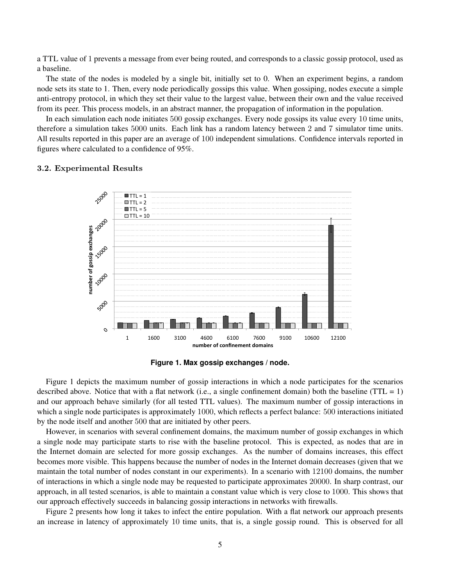a TTL value of 1 prevents a message from ever being routed, and corresponds to a classic gossip protocol, used as a baseline.

The state of the nodes is modeled by a single bit, initially set to 0. When an experiment begins, a random node sets its state to 1. Then, every node periodically gossips this value. When gossiping, nodes execute a simple anti-entropy protocol, in which they set their value to the largest value, between their own and the value received from its peer. This process models, in an abstract manner, the propagation of information in the population.

In each simulation each node initiates 500 gossip exchanges. Every node gossips its value every 10 time units, therefore a simulation takes 5000 units. Each link has a random latency between 2 and 7 simulator time units. All results reported in this paper are an average of 100 independent simulations. Confidence intervals reported in figures where calculated to a confidence of 95%.

#### 3.2. Experimental Results



**Figure 1. Max gossip exchanges / node.**

Figure 1 depicts the maximum number of gossip interactions in which a node participates for the scenarios described above. Notice that with a flat network (i.e., a single confinement domain) both the baseline (TTL = 1) and our approach behave similarly (for all tested TTL values). The maximum number of gossip interactions in which a single node participates is approximately 1000, which reflects a perfect balance: 500 interactions initiated by the node itself and another 500 that are initiated by other peers.

However, in scenarios with several confinement domains, the maximum number of gossip exchanges in which a single node may participate starts to rise with the baseline protocol. This is expected, as nodes that are in the Internet domain are selected for more gossip exchanges. As the number of domains increases, this effect becomes more visible. This happens because the number of nodes in the Internet domain decreases (given that we maintain the total number of nodes constant in our experiments). In a scenario with 12100 domains, the number of interactions in which a single node may be requested to participate approximates 20000. In sharp contrast, our approach, in all tested scenarios, is able to maintain a constant value which is very close to 1000. This shows that our approach effectively succeeds in balancing gossip interactions in networks with firewalls.

Figure 2 presents how long it takes to infect the entire population. With a flat network our approach presents an increase in latency of approximately 10 time units, that is, a single gossip round. This is observed for all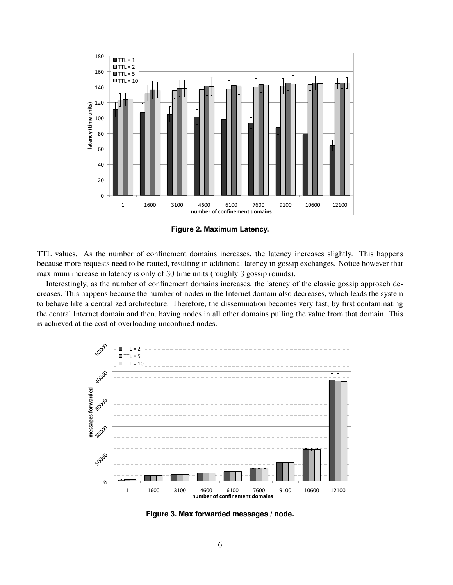

**Figure 2. Maximum Latency.**

TTL values. As the number of confinement domains increases, the latency increases slightly. This happens because more requests need to be routed, resulting in additional latency in gossip exchanges. Notice however that maximum increase in latency is only of 30 time units (roughly 3 gossip rounds).

Interestingly, as the number of confinement domains increases, the latency of the classic gossip approach decreases. This happens because the number of nodes in the Internet domain also decreases, which leads the system to behave like a centralized architecture. Therefore, the dissemination becomes very fast, by first contaminating the central Internet domain and then, having nodes in all other domains pulling the value from that domain. This is achieved at the cost of overloading unconfined nodes.



**Figure 3. Max forwarded messages / node.**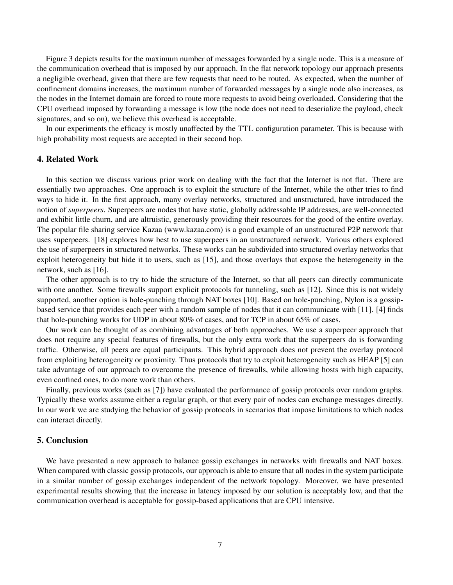Figure 3 depicts results for the maximum number of messages forwarded by a single node. This is a measure of the communication overhead that is imposed by our approach. In the flat network topology our approach presents a negligible overhead, given that there are few requests that need to be routed. As expected, when the number of confinement domains increases, the maximum number of forwarded messages by a single node also increases, as the nodes in the Internet domain are forced to route more requests to avoid being overloaded. Considering that the CPU overhead imposed by forwarding a message is low (the node does not need to deserialize the payload, check signatures, and so on), we believe this overhead is acceptable.

In our experiments the efficacy is mostly unaffected by the TTL configuration parameter. This is because with high probability most requests are accepted in their second hop.

### 4. Related Work

In this section we discuss various prior work on dealing with the fact that the Internet is not flat. There are essentially two approaches. One approach is to exploit the structure of the Internet, while the other tries to find ways to hide it. In the first approach, many overlay networks, structured and unstructured, have introduced the notion of *superpeers*. Superpeers are nodes that have static, globally addressable IP addresses, are well-connected and exhibit little churn, and are altruistic, generously providing their resources for the good of the entire overlay. The popular file sharing service Kazaa (www.kazaa.com) is a good example of an unstructured P2P network that uses superpeers. [18] explores how best to use superpeers in an unstructured network. Various others explored the use of superpeers in structured networks. These works can be subdivided into structured overlay networks that exploit heterogeneity but hide it to users, such as [15], and those overlays that expose the heterogeneity in the network, such as [16].

The other approach is to try to hide the structure of the Internet, so that all peers can directly communicate with one another. Some firewalls support explicit protocols for tunneling, such as [12]. Since this is not widely supported, another option is hole-punching through NAT boxes [10]. Based on hole-punching, Nylon is a gossipbased service that provides each peer with a random sample of nodes that it can communicate with [11]. [4] finds that hole-punching works for UDP in about 80% of cases, and for TCP in about 65% of cases.

Our work can be thought of as combining advantages of both approaches. We use a superpeer approach that does not require any special features of firewalls, but the only extra work that the superpeers do is forwarding traffic. Otherwise, all peers are equal participants. This hybrid approach does not prevent the overlay protocol from exploiting heterogeneity or proximity. Thus protocols that try to exploit heterogeneity such as HEAP [5] can take advantage of our approach to overcome the presence of firewalls, while allowing hosts with high capacity, even confined ones, to do more work than others.

Finally, previous works (such as [7]) have evaluated the performance of gossip protocols over random graphs. Typically these works assume either a regular graph, or that every pair of nodes can exchange messages directly. In our work we are studying the behavior of gossip protocols in scenarios that impose limitations to which nodes can interact directly.

#### 5. Conclusion

We have presented a new approach to balance gossip exchanges in networks with firewalls and NAT boxes. When compared with classic gossip protocols, our approach is able to ensure that all nodes in the system participate in a similar number of gossip exchanges independent of the network topology. Moreover, we have presented experimental results showing that the increase in latency imposed by our solution is acceptably low, and that the communication overhead is acceptable for gossip-based applications that are CPU intensive.